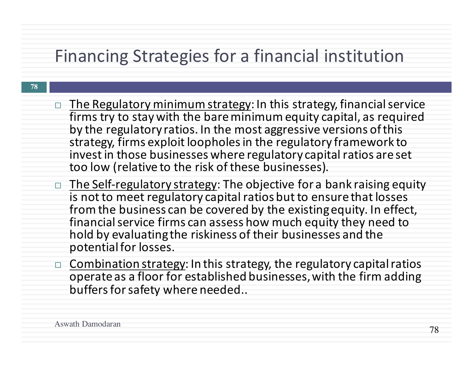#### Financing Strategies for a financial institution

- $\Box$  The Regulatory minimum strategy: In this strategy, financial service firms try to stay with the bare minimum equity capital, as required by the regulatory ratios. In the most aggressive versions of this strategy, firms exploit loopholes in the regulatory framework to invest in those businesses where regulatory capital ratios are set too low (relative to the risk of these businesses).
- The Self-regulatory strategy: The objective for a bank raising equity is not to meet regulatory capital ratios but to ensure that losses from the business can be covered by the existing equity. In effect, financial service firms can assess how much equity they need to hold by evaluating the riskiness of their businesses and the potential for losses.
- Combination strategy: In this strategy, the regulatory capital ratios operate as a floor for established businesses, with the firm adding buffers for safety where needed..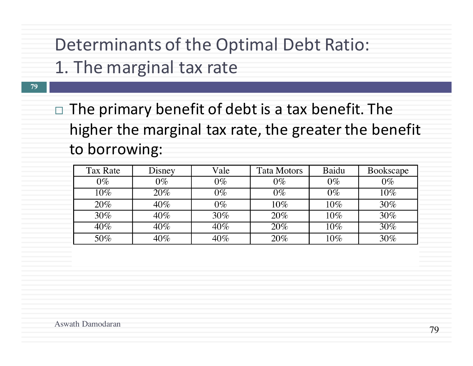#### Determinants of the Optimal Debt Ratio:

- 1. The marginal tax rate
- $\Box$  The primary benefit of debt is a tax benefit. The higher the marginal tax rate, the greater the benefit to borrowing:

| Tax Rate | Disney | Vale   | Tata Motors | Baidu | Bookscape |
|----------|--------|--------|-------------|-------|-----------|
| $0\%$    | $0\%$  | $0\%$  | $0\%$       | $0\%$ | $0\%$     |
| $10\%$   | 20%    | $0\%$  | $0\%$       | $0\%$ | $10\%$    |
| 20%      | 40%    | $0\%$  | $10\%$      | 10%   | 30%       |
| $30\%$   | $40\%$ | $30\%$ | 20%         | 10%   | 30%       |
| $40\%$   | $40\%$ | 40%    | 20%         | 10%   | 30%       |
| 50%      | 40%    | 40%    | 20%         | 10%   | 30%       |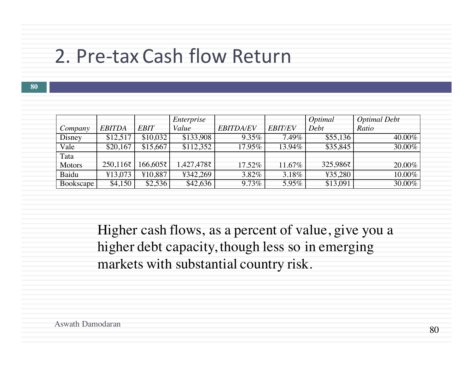#### 2. Pre-tax Cash flow Return

**80**

|               |                  |             | Enterprise |                  |                | Optimal  | Optimal Debt |
|---------------|------------------|-------------|------------|------------------|----------------|----------|--------------|
| Company       | <b>EBITDA</b>    | <b>EBIT</b> | Value      | <b>EBITDA/EV</b> | <b>EBIT/EV</b> | Debt     | Ratio        |
| Disney        | \$12,517         | \$10,032    | \$133,908  | $9.35\%$         | 7.49%          | \$55,136 | 40.00%       |
| Vale          | \$20,167         | \$15,667    | \$112,352  | 17.95%           | 13.94%         | \$35,845 | 30.00%       |
| Tata          |                  |             |            |                  |                |          |              |
| <b>Motors</b> | $250,116\bar{z}$ | 166,605₹    | 1,427,478₹ | 17.52%           | 11.67%         | 325,986₹ | 20.00%       |
| Baidu         | ¥13,073          | ¥10,887     | ¥342,269   | 3.82%            | 3.18%          | ¥35,280  | 10.00%       |
| Bookscape     | \$4,150          | \$2,536     | \$42,636   | $9.73\%$         | 5.95%          | \$13,091 | 30.00%       |

Higher cash flows, as a percent of value, give you a higher debt capacity, though less so in emerging markets with substantial country risk.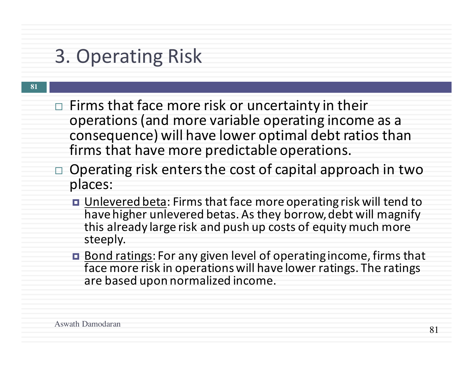# 3. Operating Risk

- Firms that face more risk or uncertainty in their operations (and more variable operating income as a consequence) will have lower optimal debt ratios than firms that have more predictable operations.
- $\Box$  Operating risk enters the cost of capital approach in two places:
	- Unlevered beta: Firms that face more operating risk will tend to have higher unlevered betas. As they borrow, debt will magnify this already large risk and push up costs of equity much more steeply.
	- Bond ratings: For any given level of operating income, firms that face more risk in operations will have lower ratings. The ratings are based upon normalized income.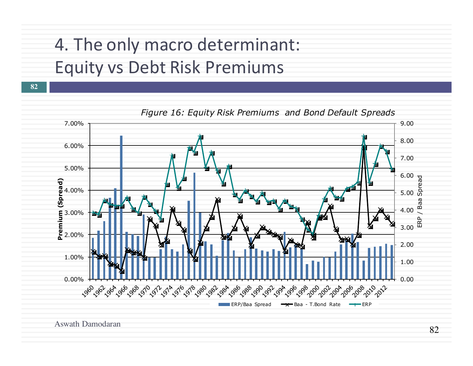### 4. The only macro determinant: Equity vs Debt Risk Premiums

**82**



Aswath Damodaran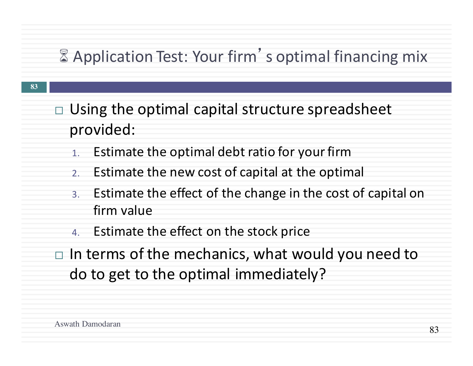#### **8 Application Test: Your firm's optimal financing mix**

- **83**
- Using the optimal capital structure spreadsheet provided:
	- 1. Estimate the optimal debt ratio for your firm
	- 2. Estimate the new cost of capital at the optimal
	- 3. Estimate the effect of the change in the cost of capital on firm value
	- 4. Estimate the effect on the stock price
- $\Box$  In terms of the mechanics, what would you need to do to get to the optimal immediately?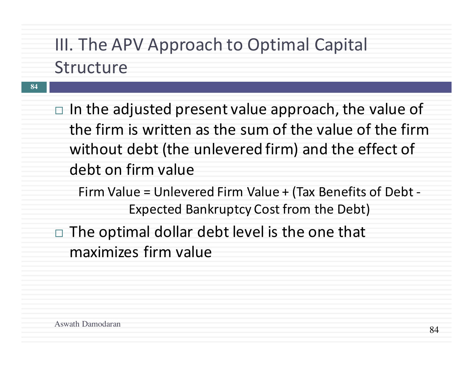### III. The APV Approach to Optimal Capital Structure

**84**

 $\Box$  In the adjusted present value approach, the value of the firm is written as the sum of the value of the firm without debt (the unlevered firm) and the effect of debt on firm value

Firm Value = Unlevered Firm Value + (Tax Benefits of Debt -Expected Bankruptcy Cost from the Debt)

 $\Box$  The optimal dollar debt level is the one that maximizes firm value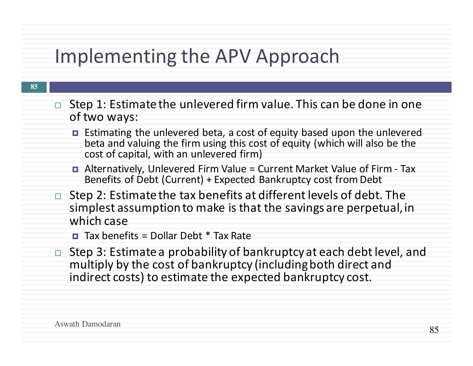# Implementing the APV Approach

- **85**
- Step 1: Estimate the unlevered firm value. This can be done in one of two ways:
	- Estimating the unlevered beta, a cost of equity based upon the unlevered beta and valuing the firm using this cost of equity (which will also be the cost of capital, with an unlevered firm)
	- Alternatively, Unlevered Firm Value = Current Market Value of Firm Tax Benefits of Debt (Current) + Expected Bankruptcy cost from Debt
- Step 2: Estimate the tax benefits at different levels of debt. The simplest assumption to make is that the savings are perpetual, in which case
	- $\Box$  Tax benefits = Dollar Debt  $*$  Tax Rate
- $\Box$  Step 3: Estimate a probability of bankruptcy at each debt level, and multiply by the cost of bankruptcy (including both direct and indirect costs) to estimate the expected bankruptcy cost.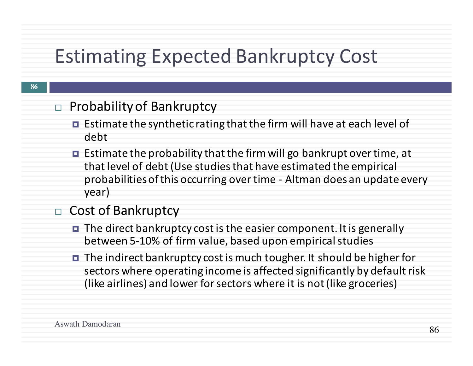# **Estimating Expected Bankruptcy Cost**

#### **86**

#### $\Box$  Probability of Bankruptcy

- Estimate the synthetic rating that the firm will have at each level of debt
- $\blacksquare$  Estimate the probability that the firm will go bankrupt over time, at that level of debt (Use studies that have estimated the empirical probabilities of this occurring over time - Altman does an update every year)

#### Cost of Bankruptcy

- $\blacksquare$  The direct bankruptcy cost is the easier component. It is generally between 5-10% of firm value, based upon empirical studies
- $\blacksquare$  The indirect bankruptcy cost is much tougher. It should be higher for sectors where operating income is affected significantly by default risk (like airlines) and lower for sectors where it is not (like groceries)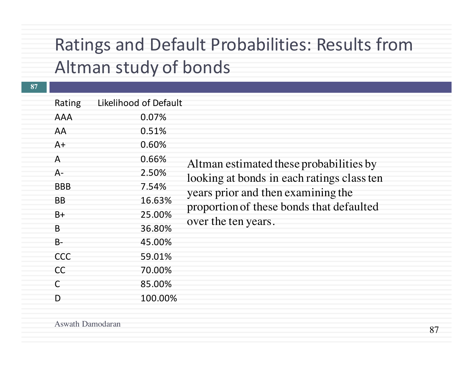#### Ratings and Default Probabilities: Results from Altman study of bonds

| 85.00%<br>$\mathsf{C}$<br>100.00%<br>D |  | Rating<br><b>AAA</b><br>AA<br>$A+$<br>$\mathsf{A}$<br>$A -$<br><b>BBB</b><br><b>BB</b><br>$B+$<br>B<br>$B -$<br><b>CCC</b><br><b>CC</b> | Likelihood of Default<br>0.07%<br>0.51%<br>0.60%<br>0.66%<br>2.50%<br>7.54%<br>16.63%<br>25.00%<br>36.80%<br>45.00%<br>59.01%<br>70.00% | Altman estimated these probabilities by<br>looking at bonds in each ratings class ten<br>years prior and then examining the<br>proportion of these bonds that defaulted<br>over the ten years. |
|----------------------------------------|--|-----------------------------------------------------------------------------------------------------------------------------------------|-----------------------------------------------------------------------------------------------------------------------------------------|------------------------------------------------------------------------------------------------------------------------------------------------------------------------------------------------|
|                                        |  |                                                                                                                                         |                                                                                                                                         |                                                                                                                                                                                                |
|                                        |  |                                                                                                                                         |                                                                                                                                         |                                                                                                                                                                                                |
|                                        |  |                                                                                                                                         |                                                                                                                                         |                                                                                                                                                                                                |
|                                        |  |                                                                                                                                         |                                                                                                                                         |                                                                                                                                                                                                |
|                                        |  |                                                                                                                                         |                                                                                                                                         |                                                                                                                                                                                                |
|                                        |  |                                                                                                                                         |                                                                                                                                         |                                                                                                                                                                                                |
|                                        |  |                                                                                                                                         |                                                                                                                                         |                                                                                                                                                                                                |
|                                        |  |                                                                                                                                         |                                                                                                                                         |                                                                                                                                                                                                |
|                                        |  |                                                                                                                                         |                                                                                                                                         |                                                                                                                                                                                                |
|                                        |  |                                                                                                                                         |                                                                                                                                         |                                                                                                                                                                                                |
|                                        |  |                                                                                                                                         |                                                                                                                                         |                                                                                                                                                                                                |
|                                        |  |                                                                                                                                         |                                                                                                                                         |                                                                                                                                                                                                |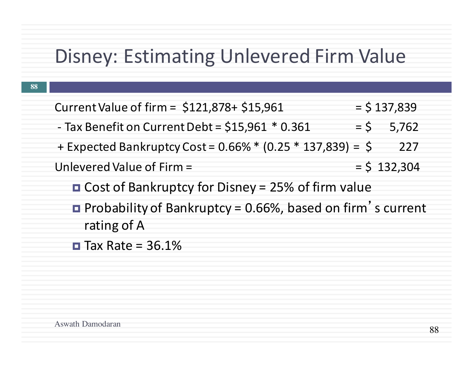# Disney: Estimating Unlevered Firm Value

| Current Value of firm = \$121,878+ \$15,961                       | $=$ \$ 137,839 |
|-------------------------------------------------------------------|----------------|
| - Tax Benefit on Current Debt = $$15,961$ * 0.361                 | $=$ \$ 5,762   |
| + Expected Bankruptcy Cost = $0.66\%$ * (0.25 * 137,839) = \$     | 227            |
| Unlevered Value of Firm =                                         | $=$ \$ 132,304 |
| <b>O</b> Cost of Bankruptcy for Disney = $25\%$ of firm value     |                |
| <b>Probability of Bankruptcy = 0.66%, based on firm's current</b> |                |
| rating of A                                                       |                |

 $\blacksquare$  Tax Rate = 36.1%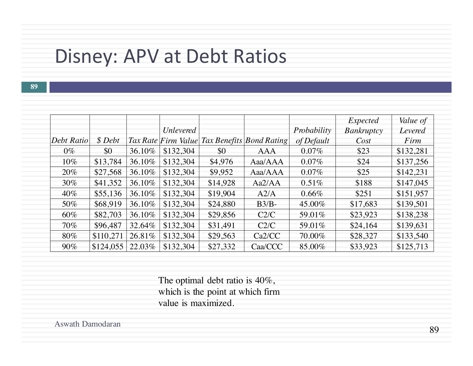### Disney: APV at Debt Ratios

**89**

|            |           |        |                  |          |                                              |             | Expected          | Value of  |
|------------|-----------|--------|------------------|----------|----------------------------------------------|-------------|-------------------|-----------|
|            |           |        | <b>Unlevered</b> |          |                                              | Probability | <b>Bankruptcy</b> | Levered   |
| Debt Ratio | \$Debt    |        |                  |          | Tax Rate Firm Value Tax Benefits Bond Rating | of Default  | Cost              | Firm      |
| $0\%$      | \$0       | 36.10% | \$132,304        | \$0      | <b>AAA</b>                                   | $0.07\%$    | \$23              | \$132,281 |
| $10\%$     | \$13,784  | 36.10% | \$132,304        | \$4,976  | Aaa/AAA                                      | $0.07\%$    | \$24              | \$137,256 |
| $20\%$     | \$27,568  | 36.10% | \$132,304        | \$9,952  | $A$ aa/ $A$ $A$                              | 0.07%       | \$25              | \$142,231 |
| 30%        | \$41,352  | 36.10% | \$132,304        | \$14,928 | Aa2/AA                                       | 0.51%       | \$188             | \$147,045 |
| $40\%$     | \$55,136  | 36.10% | \$132,304        | \$19,904 | A2/A                                         | $0.66\%$    | \$251             | \$151,957 |
| 50%        | \$68,919  | 36.10% | \$132,304        | \$24,880 | $B3/B$ -                                     | 45.00%      | \$17,683          | \$139,501 |
| $60\%$     | \$82,703  | 36.10% | \$132,304        | \$29,856 | C2/C                                         | 59.01%      | \$23,923          | \$138,238 |
| 70%        | \$96,487  | 32.64% | \$132,304        | \$31,491 | C2/C                                         | 59.01%      | \$24,164          | \$139,631 |
| 80%        | \$110,271 | 26.81% | \$132,304        | \$29,563 | Ca2/CC                                       | 70.00%      | \$28,327          | \$133,540 |
| $90\%$     | \$124,055 | 22.03% | \$132,304        | \$27,332 | Caa/CCC                                      | 85.00%      | \$33,923          | \$125,713 |

The optimal debt ratio is 40%, which is the point at which firm value is maximized.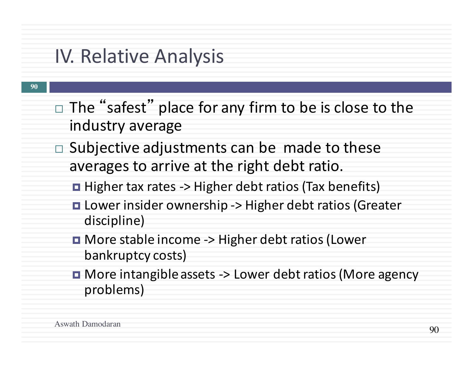# IV. Relative Analysis

- $\Box$  The "safest" place for any firm to be is close to the industry average
- $\Box$  Subjective adjustments can be made to these averages to arrive at the right debt ratio.
	- **□** Higher tax rates -> Higher debt ratios (Tax benefits)
	- **□** Lower insider ownership -> Higher debt ratios (Greater discipline)
	- **□** More stable income -> Higher debt ratios (Lower bankruptcy costs)
	- **□** More intangible assets -> Lower debt ratios (More agency problems)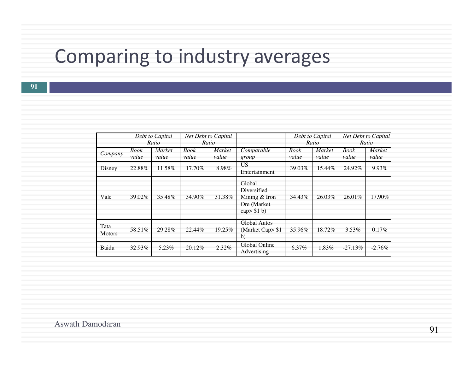# Comparing to industry averages

**91**

|                       |               | Debt to Capital<br>Ratio | <b>Net Debt to Capital</b><br>Ratio |                        |                                                                          |               | Debt to Capital<br>Ratio |                      | Net Debt to Capital<br>Ratio |
|-----------------------|---------------|--------------------------|-------------------------------------|------------------------|--------------------------------------------------------------------------|---------------|--------------------------|----------------------|------------------------------|
| Company               | Book<br>value | <i>Market</i><br>value   | <b>Book</b><br>value                | <i>Market</i><br>value | Comparable<br>group                                                      | Book<br>value | Market<br>value          | <b>Book</b><br>value | Market<br>value              |
| Disney                | 22.88%        | 11.58%                   | $17.70\%$                           | 8.98%                  | <b>US</b><br>Entertainment                                               | 39.03%        | 15.44%                   | 24.92%               | 9.93%                        |
| Vale                  | 39.02%        | 35.48%                   | 34.90%                              | 31.38%                 | Global<br>Diversified<br>Mining & Iron<br>Ore (Market)<br>cap $>$ \$1 b) | 34.43%        | 26.03%                   | 26.01%               | 17.90%                       |
| Tata<br><b>Motors</b> | 58.51%        | 29.28%                   | 22.44%                              | 19.25%                 | Global Autos<br>(Market Cap> \$1<br>b)                                   | 35.96%        | 18.72%                   | $3.53\%$             | 0.17%                        |
| Baidu                 | 32.93%        | 5.23%                    | 20.12%                              | 2.32%                  | Global Online<br>Advertising                                             | 6.37%         | 1.83%                    | $-27.13%$            | $-2.76\%$                    |

Aswath Damodaran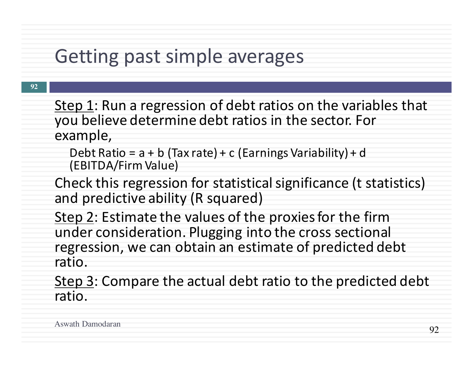### Getting past simple averages

- Step 1: Run a regression of debt ratios on the variables that you believe determine debt ratios in the sector. For example,
	- Debt Ratio =  $a + b$  (Tax rate) + c (Earnings Variability) + d (EBITDA/Firm Value)
- Check this regression for statistical significance (t statistics) and predictive ability (R squared)
- Step 2: Estimate the values of the proxies for the firm under consideration. Plugging into the cross sectional regression, we can obtain an estimate of predicted debt ratio.
- Step 3: Compare the actual debt ratio to the predicted debt ratio.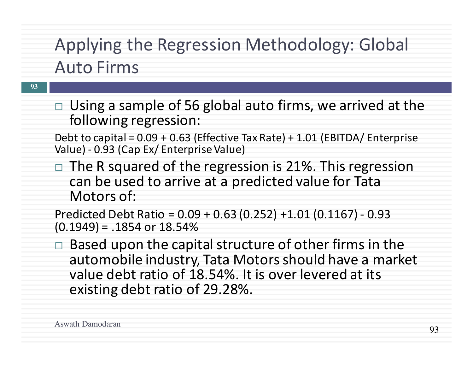# Applying the Regression Methodology: Global **Auto Firms**

- $\Box$  Using a sample of 56 global auto firms, we arrived at the following regression:
- Debt to capital =  $0.09 + 0.63$  (Effective Tax Rate) + 1.01 (EBITDA/ Enterprise Value) - 0.93 (Cap Ex/ Enterprise Value)
- $\Box$  The R squared of the regression is 21%. This regression can be used to arrive at a predicted value for Tata Motors of:

Predicted Debt Ratio =  $0.09 + 0.63$  (0.252) +1.01 (0.1167) - 0.93  $(0.1949) = .1854$  or  $18.54%$ 

Based upon the capital structure of other firms in the automobile industry, Tata Motors should have a market value debt ratio of 18.54%. It is over levered at its existing debt ratio of 29.28%.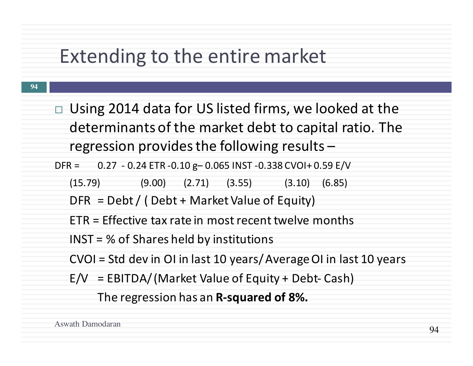## Extending to the entire market

 $\Box$  Using 2014 data for US listed firms, we looked at the determinants of the market debt to capital ratio. The regression provides the following results  $-$ 

DFR =  $0.27 - 0.24$  ETR -0.10 g- 0.065 INST -0.338 CVOI+ 0.59 E/V

 $(15.79)$   $(9.00)$   $(2.71)$   $(3.55)$   $(3.10)$   $(6.85)$ 

 $DFR = Debt / (Debt + Market Value of Equity)$ 

 $ETR =$  Effective tax rate in most recent twelve months

 $INST = % of Shares held by institutions$ 

CVOI = Std dev in OI in last 10 years/ Average OI in last 10 years

 $E/V = EBITDA/(Market Value of Equity + Debt-Cash)$ 

The regression has an **R-squared of 8%.**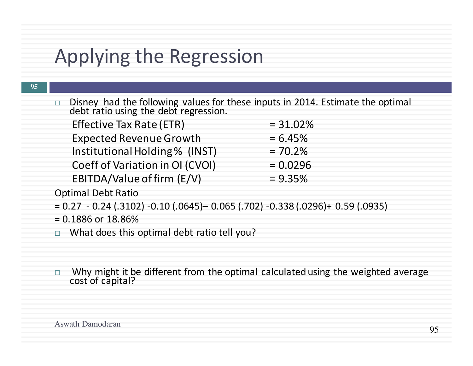# Applying the Regression

| 95       |                                                                                                                      |             |
|----------|----------------------------------------------------------------------------------------------------------------------|-------------|
| $\Box$ . | Disney had the following values for these inputs in 2014. Estimate the optimal debt ratio using the debt regression. |             |
|          | Effective Tax Rate (ETR)                                                                                             | $= 31.02\%$ |
|          | <b>Expected Revenue Growth</b>                                                                                       | $= 6.45%$   |
|          | Institutional Holding % (INST)                                                                                       | $= 70.2%$   |
|          | Coeff of Variation in OI (CVOI)                                                                                      | $= 0.0296$  |
|          | EBITDA/Value of firm (E/V)                                                                                           | $= 9.35\%$  |
|          | <b>Optimal Debt Ratio</b>                                                                                            |             |
|          | $= 0.27 - 0.24$ (.3102) $-0.10$ (.0645) $- 0.065$ (.702) $-0.338$ (.0296) + 0.59 (.0935)                             |             |
|          | $= 0.1886$ or $18.86\%$                                                                                              |             |
|          | $\Box$ What does this optimal debt ratio tell you?                                                                   |             |
|          |                                                                                                                      |             |
|          |                                                                                                                      |             |
| $\Box$   | Why might it be different from the optimal calculated using the weighted average<br>cost of capital?                 |             |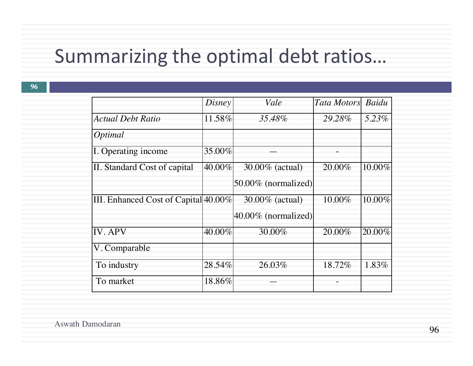# Summarizing the optimal debt ratios...

|                                      | Disney | Vale                   | <b>Tata Motors</b>   | Baidu     |
|--------------------------------------|--------|------------------------|----------------------|-----------|
| <b>Actual Debt Ratio</b>             | 11.58% | 35.48%                 | 29.28%               | 5.23%     |
| Optimal                              |        |                        |                      |           |
| I. Operating income                  | 35.00% |                        |                      |           |
| II. Standard Cost of capital         | 40.00% | 30.00% (actual)        | 20.00%               | 10.00%    |
|                                      |        | $50.00\%$ (normalized) |                      |           |
| III. Enhanced Cost of Capital 40.00% |        | 30.00% (actual)        | $10.00\%$            | $10.00\%$ |
|                                      |        | $40.00\%$ (normalized) |                      |           |
| <b>IV. APV</b>                       | 40.00% | 30.00%                 | $\overline{20.00\%}$ | 20.00%    |
| V. Comparable                        |        |                        |                      |           |
| To industry                          | 28.54% | 26.03%                 | 18.72%               | 1.83%     |
| To market                            | 18.86% |                        |                      |           |
|                                      |        |                        |                      |           |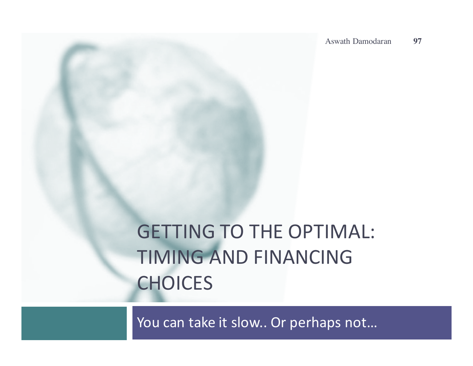# **GETTING TO THE OPTIMAL:** TIMING AND FINANCING **CHOICES**

You can take it slow.. Or perhaps not...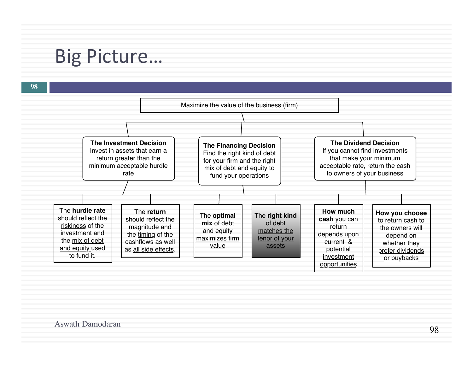# Big Picture...

**98 The Investment Decision** Invest in assets that earn a return greater than the minimum acceptable hurdle rate **The Financing Decision** Find the right kind of debt for your firm and the right mix of debt and equity to fund your operations **The Dividend Decision** If you cannot find investments that make your minimum acceptable rate, return the cash to owners of your business The **hurdle rate** should reflect the riskiness of the investment and the mix of debt and equity used to fund it. The **return** should reflect the magnitude and the timing of the cashflows as well as all side effects. The **optimal mix** of debt and equity maximizes firm value The **right kind** of debt matches the tenor of your assets **How much cash** you can return depends upon current & potential investment **opportunities How you choose**  to return cash to the owners will depend on whether they prefer dividends or buybacks Maximize the value of the business (firm)